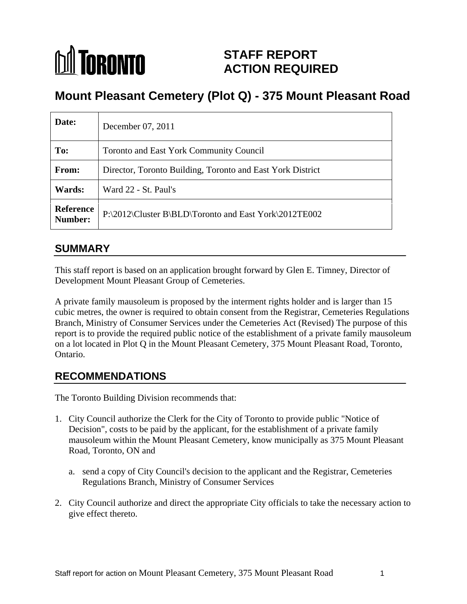# *Inil Toronto* **STAFF REPORT ACTION REQUIRED**

# **Mount Pleasant Cemetery (Plot Q) - 375 Mount Pleasant Road**

| Date:         | December 07, 2011                                               |
|---------------|-----------------------------------------------------------------|
| To:           | Toronto and East York Community Council                         |
| From:         | Director, Toronto Building, Toronto and East York District      |
| <b>Wards:</b> | Ward 22 - St. Paul's                                            |
|               | Reference P:\2012\Cluster B\BLD\Toronto and East York\2012TE002 |
|               |                                                                 |

### **SUMMARY**

This staff report is based on an application brought forward by Glen E. Timney, Director of Development Mount Pleasant Group of Cemeteries.

A private family mausoleum is proposed by the interment rights holder and is larger than 15 cubic metres, the owner is required to obtain consent from the Registrar, Cemeteries Regulations Branch, Ministry of Consumer Services under the Cemeteries Act (Revised) The purpose of this report is to provide the required public notice of the establishment of a private family mausoleum on a lot located in Plot Q in the Mount Pleasant Cemetery, 375 Mount Pleasant Road, Toronto, Ontario.

# **RECOMMENDATIONS**

The Toronto Building Division recommends that:

- 1. City Council authorize the Clerk for the City of Toronto to provide public "Notice of Decision", costs to be paid by the applicant, for the establishment of a private family mausoleum within the Mount Pleasant Cemetery, know municipally as 375 Mount Pleasant Road, Toronto, ON and
	- a. send a copy of City Council's decision to the applicant and the Registrar, Cemeteries Regulations Branch, Ministry of Consumer Services
- 2. City Council authorize and direct the appropriate City officials to take the necessary action to give effect thereto.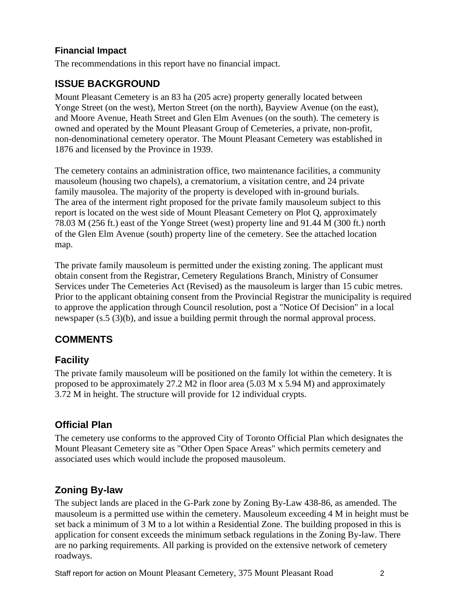#### **Financial Impact**

The recommendations in this report have no financial impact.

# **ISSUE BACKGROUND**

Mount Pleasant Cemetery is an 83 ha (205 acre) property generally located between Yonge Street (on the west), Merton Street (on the north), Bayview Avenue (on the east), and Moore Avenue, Heath Street and Glen Elm Avenues (on the south). The cemetery is owned and operated by the Mount Pleasant Group of Cemeteries, a private, non-profit, non-denominational cemetery operator. The Mount Pleasant Cemetery was established in 1876 and licensed by the Province in 1939.

The cemetery contains an administration office, two maintenance facilities, a community mausoleum (housing two chapels), a crematorium, a visitation centre, and 24 private family mausolea. The majority of the property is developed with in-ground burials. The area of the interment right proposed for the private family mausoleum subject to this report is located on the west side of Mount Pleasant Cemetery on Plot Q, approximately 78.03 M (256 ft.) east of the Yonge Street (west) property line and 91.44 M (300 ft.) north of the Glen Elm Avenue (south) property line of the cemetery. See the attached location map.

The private family mausoleum is permitted under the existing zoning. The applicant must obtain consent from the Registrar, Cemetery Regulations Branch, Ministry of Consumer Services under The Cemeteries Act (Revised) as the mausoleum is larger than 15 cubic metres. Prior to the applicant obtaining consent from the Provincial Registrar the municipality is required to approve the application through Council resolution, post a "Notice Of Decision" in a local newspaper (s.5 (3)(b), and issue a building permit through the normal approval process.

# **COMMENTS**

### **Facility**

The private family mausoleum will be positioned on the family lot within the cemetery. It is proposed to be approximately  $27.2$  M2 in floor area  $(5.03$  M x  $5.94$  M) and approximately 3.72 M in height. The structure will provide for 12 individual crypts.

# **Official Plan**

The cemetery use conforms to the approved City of Toronto Official Plan which designates the Mount Pleasant Cemetery site as "Other Open Space Areas" which permits cemetery and associated uses which would include the proposed mausoleum.

#### **Zoning By-law**

The subject lands are placed in the G-Park zone by Zoning By-Law 438-86, as amended. The mausoleum is a permitted use within the cemetery. Mausoleum exceeding 4 M in height must be set back a minimum of 3 M to a lot within a Residential Zone. The building proposed in this is application for consent exceeds the minimum setback regulations in the Zoning By-law. There are no parking requirements. All parking is provided on the extensive network of cemetery roadways.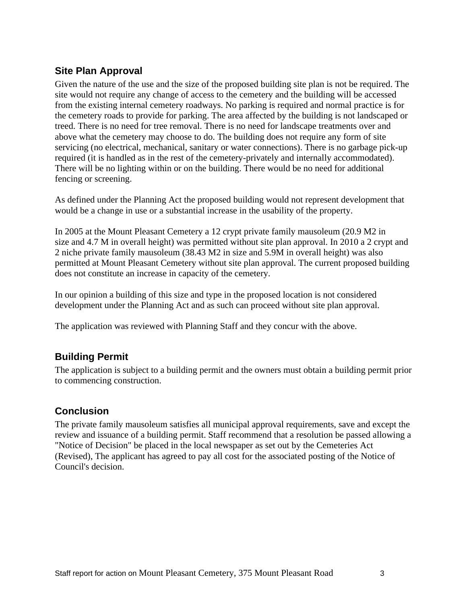### **Site Plan Approval**

Given the nature of the use and the size of the proposed building site plan is not be required. The site would not require any change of access to the cemetery and the building will be accessed from the existing internal cemetery roadways. No parking is required and normal practice is for the cemetery roads to provide for parking. The area affected by the building is not landscaped or treed. There is no need for tree removal. There is no need for landscape treatments over and above what the cemetery may choose to do. The building does not require any form of site servicing (no electrical, mechanical, sanitary or water connections). There is no garbage pick-up required (it is handled as in the rest of the cemetery-privately and internally accommodated). There will be no lighting within or on the building. There would be no need for additional fencing or screening.

As defined under the Planning Act the proposed building would not represent development that would be a change in use or a substantial increase in the usability of the property.

In 2005 at the Mount Pleasant Cemetery a 12 crypt private family mausoleum (20.9 M2 in size and 4.7 M in overall height) was permitted without site plan approval. In 2010 a 2 crypt and 2 niche private family mausoleum (38.43 M2 in size and 5.9M in overall height) was also permitted at Mount Pleasant Cemetery without site plan approval. The current proposed building does not constitute an increase in capacity of the cemetery.

In our opinion a building of this size and type in the proposed location is not considered development under the Planning Act and as such can proceed without site plan approval.

The application was reviewed with Planning Staff and they concur with the above.

#### **Building Permit**

The application is subject to a building permit and the owners must obtain a building permit prior to commencing construction.

#### **Conclusion**

The private family mausoleum satisfies all municipal approval requirements, save and except the review and issuance of a building permit. Staff recommend that a resolution be passed allowing a "Notice of Decision" be placed in the local newspaper as set out by the Cemeteries Act (Revised), The applicant has agreed to pay all cost for the associated posting of the Notice of Council's decision.